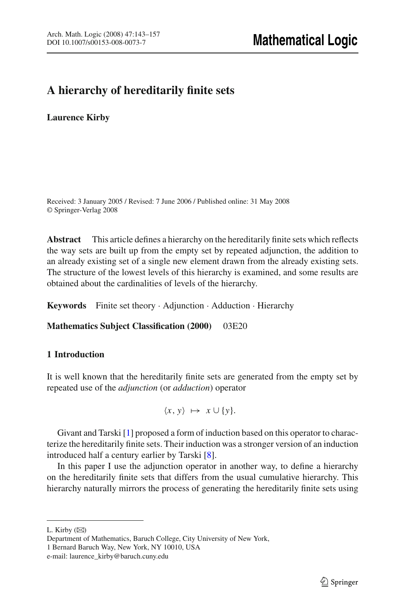# **A hierarchy of hereditarily finite sets**

**Laurence Kirby**

Received: 3 January 2005 / Revised: 7 June 2006 / Published online: 31 May 2008 © Springer-Verlag 2008

**Abstract** This article defines a hierarchy on the hereditarily finite sets which reflects the way sets are built up from the empty set by repeated adjunction, the addition to an already existing set of a single new element drawn from the already existing sets. The structure of the lowest levels of this hierarchy is examined, and some results are obtained about the cardinalities of levels of the hierarchy.

**Keywords** Finite set theory · Adjunction · Adduction · Hierarchy

**Mathematics Subject Classification (2000)** 03E20

# **1 Introduction**

It is well known that the hereditarily finite sets are generated from the empty set by repeated use of the *adjunction* (or *adduction*) operator

 $\langle x, y \rangle$  →  $x \cup \{y\}.$ 

Givant and Tarski [\[1](#page-14-0)] proposed a form of induction based on this operator to characterize the hereditarily finite sets. Their induction was a stronger version of an induction introduced half a century earlier by Tarski [\[8\]](#page-14-1).

In this paper I use the adjunction operator in another way, to define a hierarchy on the hereditarily finite sets that differs from the usual cumulative hierarchy. This hierarchy naturally mirrors the process of generating the hereditarily finite sets using

L. Kirby  $(\boxtimes)$ 

Department of Mathematics, Baruch College, City University of New York, 1 Bernard Baruch Way, New York, NY 10010, USA

e-mail: laurence\_kirby@baruch.cuny.edu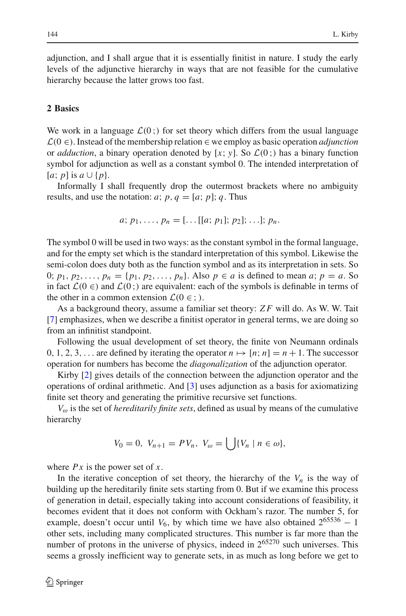adjunction, and I shall argue that it is essentially finitist in nature. I study the early levels of the adjunctive hierarchy in ways that are not feasible for the cumulative hierarchy because the latter grows too fast.

### <span id="page-1-0"></span>**2 Basics**

We work in a language  $\mathcal{L}(0;$  for set theory which differs from the usual language  $\mathcal{L}(0 \in)$ . Instead of the membership relation  $\in$  we employ as basic operation *adjunction* or *adduction*, a binary operation denoted by [x; y]. So  $\mathcal{L}(0;)$  has a binary function symbol for adjunction as well as a constant symbol 0. The intended interpretation of  $[a; p]$  is  $a \cup \{p\}.$ 

Informally I shall frequently drop the outermost brackets where no ambiguity results, and use the notation:  $a$ ;  $p$ ,  $q = [a; p]$ ;  $q$ . Thus

$$
a; p_1, \ldots, p_n = [\ldots [[a; p_1]; p_2]; \ldots]; p_n.
$$

The symbol 0 will be used in two ways: as the constant symbol in the formal language, and for the empty set which is the standard interpretation of this symbol. Likewise the semi-colon does duty both as the function symbol and as its interpretation in sets. So 0;  $p_1, p_2, ..., p_n = \{p_1, p_2, ..., p_n\}$ . Also  $p \in a$  is defined to mean *a*;  $p = a$ . So in fact  $\mathcal{L}(0 \in)$  and  $\mathcal{L}(0;)$  are equivalent: each of the symbols is definable in terms of the other in a common extension  $\mathcal{L}(0 \in ;)$ .

As a background theory, assume a familiar set theory: *Z F* will do. As W. W. Tait [\[7](#page-14-2)] emphasizes, when we describe a finitist operator in general terms, we are doing so from an infinitist standpoint.

Following the usual development of set theory, the finite von Neumann ordinals 0, 1, 2, 3,... are defined by iterating the operator  $n \mapsto [n; n] = n + 1$ . The successor operation for numbers has become the *diagonalization* of the adjunction operator.

Kirby [\[2](#page-14-3)] gives details of the connection between the adjunction operator and the operations of ordinal arithmetic. And [\[3\]](#page-14-4) uses adjunction as a basis for axiomatizing finite set theory and generating the primitive recursive set functions.

 $V_{\omega}$  is the set of *hereditarily finite sets*, defined as usual by means of the cumulative hierarchy

$$
V_0 = 0, V_{n+1} = PV_n, V_{\omega} = \bigcup \{ V_n \mid n \in \omega \},
$$

where *Px* is the power set of *x*.

In the iterative conception of set theory, the hierarchy of the  $V_n$  is the way of building up the hereditarily finite sets starting from 0. But if we examine this process of generation in detail, especially taking into account considerations of feasibility, it becomes evident that it does not conform with Ockham's razor. The number 5, for example, doesn't occur until  $V_6$ , by which time we have also obtained  $2^{65536} - 1$ other sets, including many complicated structures. This number is far more than the number of protons in the universe of physics, indeed in  $2^{65270}$  such universes. This seems a grossly inefficient way to generate sets, in as much as long before we get to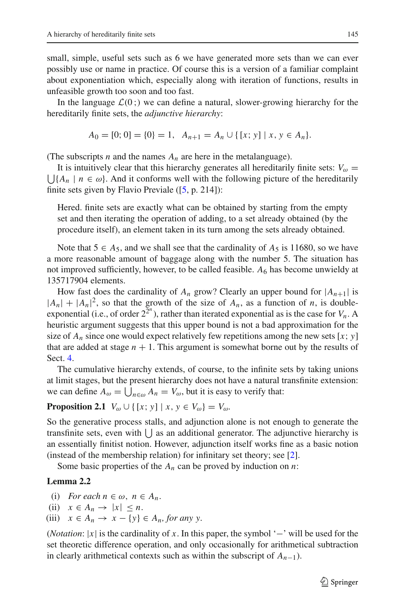small, simple, useful sets such as 6 we have generated more sets than we can ever possibly use or name in practice. Of course this is a version of a familiar complaint about exponentiation which, especially along with iteration of functions, results in unfeasible growth too soon and too fast.

In the language  $\mathcal{L}(0; )$  we can define a natural, slower-growing hierarchy for the hereditarily finite sets, the *adjunctive hierarchy*:

$$
A_0 = [0; 0] = \{0\} = 1, \ \ A_{n+1} = A_n \cup \{ [x; y] \mid x, y \in A_n \}.
$$

(The subscripts *n* and the names  $A_n$  are here in the metalanguage).

 $\bigcup \{A_n \mid n \in \omega\}$ . And it conforms well with the following picture of the hereditarily It is intuitively clear that this hierarchy generates all hereditarily finite sets:  $V_{\omega}$  = finite sets given by Flavio Previale  $(5, p. 214)$ :

Hered. finite sets are exactly what can be obtained by starting from the empty set and then iterating the operation of adding, to a set already obtained (by the procedure itself), an element taken in its turn among the sets already obtained.

Note that  $5 \in A_5$ , and we shall see that the cardinality of  $A_5$  is 11680, so we have a more reasonable amount of baggage along with the number 5. The situation has not improved sufficiently, however, to be called feasible.  $A_6$  has become unwieldy at 135717904 elements.

How fast does the cardinality of  $A_n$  grow? Clearly an upper bound for  $|A_{n+1}|$  is  $|A_n| + |A_n|^2$ , so that the growth of the size of  $A_n$ , as a function of *n*, is doubleexponential (i.e., of order  $2^{2^n}$ ), rather than iterated exponential as is the case for  $V_n$ . A heuristic argument suggests that this upper bound is not a bad approximation for the size of  $A_n$  since one would expect relatively few repetitions among the new sets [x; y] that are added at stage  $n + 1$ . This argument is somewhat borne out by the results of Sect. [4.](#page-9-0)

The cumulative hierarchy extends, of course, to the infinite sets by taking unions at limit stages, but the present hierarchy does not have a natural transfinite extension: we can define  $A_{\omega} = \bigcup_{n \in \omega} A_n = V_{\omega}$ , but it is easy to verify that:

# **Proposition 2.1**  $V_{\omega} \cup \{ [x; y] | x, y \in V_{\omega} \} = V_{\omega}$ .

So the generative process stalls, and adjunction alone is not enough to generate the transfinite sets, even with  $\bigcup$  as an additional generator. The adjunctive hierarchy is an essentially finitist notion. However, adjunction itself works fine as a basic notion (instead of the membership relation) for infinitary set theory; see [\[2](#page-14-3)].

<span id="page-2-0"></span>Some basic properties of the  $A_n$  can be proved by induction on  $n$ :

### **Lemma 2.2**

- (i) *For each*  $n \in \omega$ ,  $n \in A_n$ .
- (ii)  $x \in A_n \to |x| \leq n$ .
- (iii)  $x \in A_n \to x \{y\} \in A_n$ , for any y.

(*Notation*: |*x*| is the cardinality of *x*. In this paper, the symbol '−' will be used for the set theoretic difference operation, and only occasionally for arithmetical subtraction in clearly arithmetical contexts such as within the subscript of  $A_{n-1}$ ).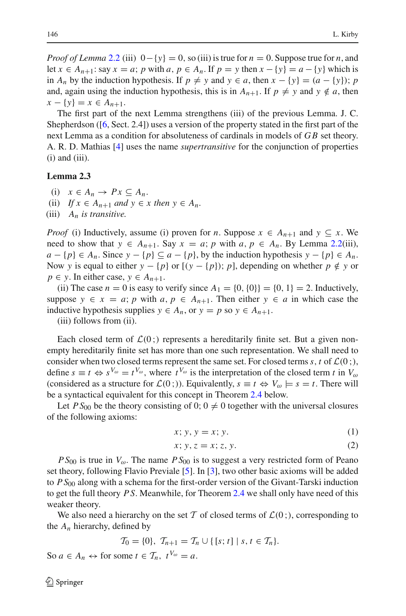*Proof of Lemma* [2.2](#page-2-0) (iii)  $0 - \{y\} = 0$ , so (iii) is true for  $n = 0$ . Suppose true for *n*, and let  $x \in A_{n+1}$ : say  $x = a$ ; *p* with  $a, p \in A_n$ . If  $p = y$  then  $x - \{y\} = a - \{y\}$  which is in  $A_n$  by the induction hypothesis. If  $p \neq y$  and  $y \in a$ , then  $x - \{y\} = (a - \{y\})$ ; *p* and, again using the induction hypothesis, this is in  $A_{n+1}$ . If  $p \neq y$  and  $y \notin a$ , then *x* − {*y*} = *x* ∈ *A<sub>n+1</sub>*.

The first part of the next Lemma strengthens (iii) of the previous Lemma. J. C. Shepherdson ([\[6,](#page-14-6) Sect. 2.4]) uses a version of the property stated in the first part of the next Lemma as a condition for absoluteness of cardinals in models of *G B* set theory. A. R. D. Mathias [\[4\]](#page-14-7) uses the name *supertransitive* for the conjunction of properties  $(i)$  and  $(iii)$ .

### <span id="page-3-1"></span>**Lemma 2.3**

- (i)  $x \in A_n \to Px \subseteq A_n$ .
- (ii) *If*  $x \in A_{n+1}$  *and*  $y \in x$  *then*  $y \in A_n$ .
- (iii) *An is transitive.*

*Proof* (i) Inductively, assume (i) proven for *n*. Suppose  $x \in A_{n+1}$  and  $y \subseteq x$ . We need to show that  $y \in A_{n+1}$ . Say  $x = a$ ; *p* with  $a, p \in A_n$ . By Lemma [2.2\(](#page-2-0)iii), *a* − {*p*} ∈ *A<sub>n</sub>*. Since *y* − {*p*} ⊆ *a* − {*p*}, by the induction hypothesis *y* − {*p*} ∈ *A<sub>n</sub>*. Now *y* is equal to either  $y - \{p\}$  or  $[(y - \{p\})$ ; *p*], depending on whether  $p \notin y$  or  $p \in y$ . In either case,  $y \in A_{n+1}$ .

(ii) The case  $n = 0$  is easy to verify since  $A_1 = \{0, \{0\}\} = \{0, 1\} = 2$ . Inductively, suppose  $y \in x = a$ ; *p* with  $a, p \in A_{n+1}$ . Then either  $y \in a$  in which case the inductive hypothesis supplies  $y \in A_n$ , or  $y = p$  so  $y \in A_{n+1}$ .

(iii) follows from (ii).

Each closed term of  $\mathcal{L}(0;)$  represents a hereditarily finite set. But a given nonempty hereditarily finite set has more than one such representation. We shall need to consider when two closed terms represent the same set. For closed terms  $s, t$  of  $\mathcal{L}(0;),$ define  $s \equiv t \Leftrightarrow s^{V_{\omega}} = t^{V_{\omega}}$ , where  $t^{V_{\omega}}$  is the interpretation of the closed term *t* in  $V_{\omega}$ (considered as a structure for  $\mathcal{L}(0;$ )). Equivalently,  $s \equiv t \Leftrightarrow V_{\omega} \models s = t$ . There will be a syntactical equivalent for this concept in Theorem [2.4](#page-4-0) below.

<span id="page-3-0"></span>Let  $PS_{00}$  be the theory consisting of 0;  $0 \neq 0$  together with the universal closures of the following axioms:

$$
x; y, y = x; y.
$$
 (1)

$$
x; y, z = x; z, y.
$$

 $P S_{00}$  is true in  $V_{\omega}$ . The name  $P S_{00}$  is to suggest a very restricted form of Peano set theory, following Flavio Previale [\[5](#page-14-5)]. In [\[3](#page-14-4)], two other basic axioms will be added to *P S*<sup>00</sup> along with a schema for the first-order version of the Givant-Tarski induction to get the full theory *P S*. Meanwhile, for Theorem [2.4](#page-4-0) we shall only have need of this weaker theory.

We also need a hierarchy on the set T of closed terms of  $\mathcal{L}(0;),$  corresponding to the  $A_n$  hierarchy, defined by

$$
\mathcal{T}_0 = \{0\}, \ \mathcal{T}_{n+1} = \mathcal{T}_n \cup \{ [s; t] \mid s, t \in \mathcal{T}_n \}.
$$

So  $a \in A_n \leftrightarrow$  for some  $t \in \mathcal{T}_n$ ,  $t^{V_\omega} = a$ .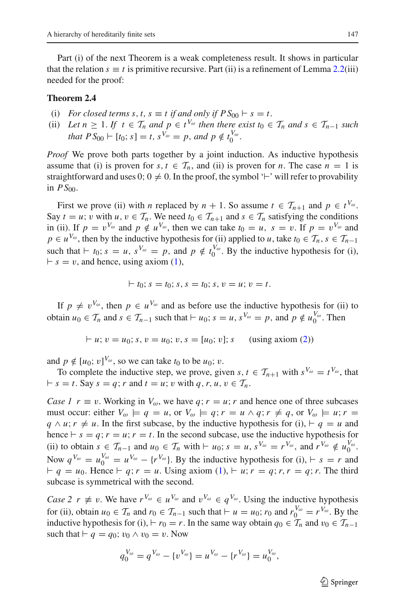Part (i) of the next Theorem is a weak completeness result. It shows in particular that the relation  $s \equiv t$  is primitive recursive. Part (ii) is a refinement of Lemma [2.2\(](#page-2-0)iii) needed for the proof:

#### <span id="page-4-0"></span>**Theorem 2.4**

- (i) *For closed terms s, t, s*  $\equiv$  *t if and only if*  $PS_{00}$   $\vdash$  *s*  $=$  *t.*
- (ii) *Let*  $n \geq 1$ *. If*  $t \in \mathcal{T}_n$  *and*  $p \in t^{V_\omega}$  *then there exist*  $t_0 \in \mathcal{T}_n$  *and*  $s \in \mathcal{T}_{n-1}$  *such that*  $PS_{00} \vdash [t_0; s] = t$ ,  $s^{V_\omega} = p$ , and  $p \notin t_0^{V_\omega}$ .

*Proof* We prove both parts together by a joint induction. As inductive hypothesis assume that (i) is proven for  $s, t \in \mathcal{T}_n$ , and (ii) is proven for *n*. The case  $n = 1$  is straightforward and uses  $0; 0 \neq 0$ . In the proof, the symbol ' $\vdash$ ' will refer to provability in  $PS_{00}$ .

First we prove (ii) with *n* replaced by  $n + 1$ . So assume  $t \in \mathcal{T}_{n+1}$  and  $p \in t^{V_\omega}$ . Say  $t = u$ ; v with  $u, v \in \mathcal{T}_n$ . We need  $t_0 \in \mathcal{T}_{n+1}$  and  $s \in \mathcal{T}_n$  satisfying the conditions in (ii). If  $p = v^{V_\omega}$  and  $p \notin u^{V_\omega}$ , then we can take  $t_0 = u$ ,  $s = v$ . If  $p = v^{V_\omega}$  and  $p \in u^{V_\omega}$ , then by the inductive hypothesis for (ii) applied to *u*, take  $t_0 \in \mathcal{T}_n$ ,  $s \in \mathcal{T}_{n-1}$ such that  $\vdash t_0$ ;  $s = u$ ,  $s^{V_\omega} = p$ , and  $p \notin t_0^{V_\omega}$ . By the inductive hypothesis for (i),  $f - s = v$ , and hence, using axiom [\(1\)](#page-3-0),

$$
\vdash t_0; s = t_0; s, s = t_0; s, v = u; v = t.
$$

If  $p \neq v^{V_{\omega}}$ , then  $p \in u^{V_{\omega}}$  and as before use the inductive hypothesis for (ii) to obtain  $u_0 \in \mathcal{T}_n$  and  $s \in \mathcal{T}_{n-1}$  such that  $\vdash u_0; s = u, s^{V_\omega} = p$ , and  $p \notin u_0^{V_\omega}$ . Then

$$
\vdash u; v = u_0; s, v = u_0; v, s = [u_0; v]; s \quad \text{(using axiom (2))}
$$

and  $p \notin [u_0; v]^{V_\omega}$ , so we can take  $t_0$  to be  $u_0$ ; v.

To complete the inductive step, we prove, given *s*,  $t \in \mathcal{T}_{n+1}$  with  $s^{V_\omega} = t^{V_\omega}$ , that  $f \circ f = t$ . Say  $s = q$ ; *r* and  $t = u$ ; *v* with  $q, r, u, v \in T_n$ .

*Case 1*  $r \equiv v$ . Working in  $V_{\omega}$ , we have  $q$ ;  $r = u$ ; r and hence one of three subcases must occur: either  $V_{\omega} \models q = u$ , or  $V_{\omega} \models q$ ;  $r = u \wedge q$ ;  $r \neq q$ , or  $V_{\omega} \models u$ ;  $r = u$  $q \wedge u$ ;  $r \neq u$ . In the first subcase, by the inductive hypothesis for (i),  $\vdash q = u$  and hence  $\vdash s = q; r = u; r = t$ . In the second subcase, use the inductive hypothesis for (ii) to obtain  $s \in \mathcal{T}_{n-1}$  and  $u_0 \in \mathcal{T}_n$  with  $\vdash u_0$ ;  $s = u, s^{V_\omega} = r^{V_\omega}$ , and  $r^{V_\omega} \notin u_0^{V_\omega}$ . Now  $q^{V_\omega} = u_0^{V_\omega} = u^{V_\omega} - \{r^{V_\omega}\}\$ . By the inductive hypothesis for (i),  $\vdash s = r$  and  $q = u_0$ . Hence  $q, r = u$ . Using axiom  $(1), \forall u, r = q, r, r = q, r$  $(1), \forall u, r = q, r, r = q, r$ . The third subcase is symmetrical with the second.

*Case 2 r*  $\neq v$ . We have  $r^{V_\omega} \in u^{V_\omega}$  and  $v^{V_\omega} \in q^{V_\omega}$ . Using the inductive hypothesis for (ii), obtain  $u_0 \in \mathcal{T}_n$  and  $r_0 \in \mathcal{T}_{n-1}$  such that  $\vdash u = u_0$ ;  $r_0$  and  $r_0^{V_\omega} = r^{V_\omega}$ . By the inductive hypothesis for (i),  $\vdash r_0 = r$ . In the same way obtain  $q_0 \in \mathcal{T}_n$  and  $v_0 \in \mathcal{T}_{n-1}$ such that  $\vdash q = q_0$ ;  $v_0 \wedge v_0 = v$ . Now

$$
q_0^{V_{\omega}} = q^{V_{\omega}} - \{v^{V_{\omega}}\} = u^{V_{\omega}} - \{r^{V_{\omega}}\} = u_0^{V_{\omega}},
$$

<sup>6</sup>∕2 Springer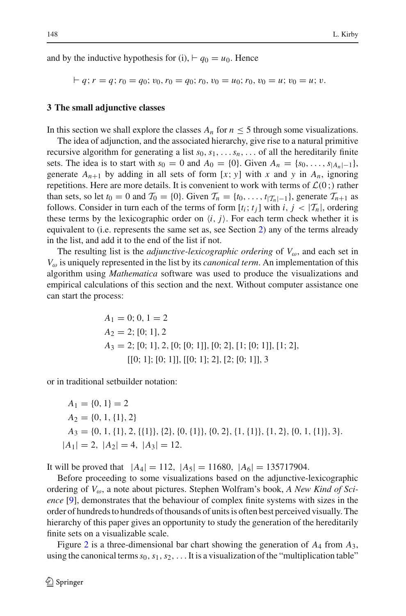and by the inductive hypothesis for (i),  $\vdash q_0 = u_0$ . Hence

$$
\vdash q; r = q; r_0 = q_0; v_0, r_0 = q_0; r_0, v_0 = u_0; r_0, v_0 = u; v_0 = u; v.
$$

### <span id="page-5-0"></span>**3 The small adjunctive classes**

In this section we shall explore the classes  $A_n$  for  $n \leq 5$  through some visualizations.

The idea of adjunction, and the associated hierarchy, give rise to a natural primitive recursive algorithm for generating a list  $s_0, s_1, \ldots, s_n, \ldots$  of all the hereditarily finite sets. The idea is to start with  $s_0 = 0$  and  $A_0 = \{0\}$ . Given  $A_n = \{s_0, \ldots, s_{|A_n|-\frac{1}{2}}\}$ , generate  $A_{n+1}$  by adding in all sets of form [x; y] with x and y in  $A_n$ , ignoring repetitions. Here are more details. It is convenient to work with terms of  $\mathcal{L}(0;)$  rather than sets, so let  $t_0 = 0$  and  $\mathcal{T}_0 = \{0\}$ . Given  $\mathcal{T}_n = \{t_0, \ldots, t_{|\mathcal{T}_n| - 1}\}$ , generate  $\mathcal{T}_{n+1}$  as follows. Consider in turn each of the terms of form  $[t_i; t_j]$  with  $i, j < |T_n|$ , ordering these terms by the lexicographic order on  $\langle i, j \rangle$ . For each term check whether it is equivalent to (i.e. represents the same set as, see Section [2\)](#page-1-0) any of the terms already in the list, and add it to the end of the list if not.

The resulting list is the *adjunctive-lexicographic ordering* of  $V_{\omega}$ , and each set in *V*<sup>ω</sup> is uniquely represented in the list by its *canonical term*. An implementation of this algorithm using *Mathematica* software was used to produce the visualizations and empirical calculations of this section and the next. Without computer assistance one can start the process:

$$
A_1 = 0; 0, 1 = 2
$$
  
\n
$$
A_2 = 2; [0; 1], 2
$$
  
\n
$$
A_3 = 2; [0; 1], 2, [0; [0; 1]], [0; 2], [1; [0; 1]], [1; 2],
$$
  
\n
$$
[[0; 1]; [0; 1]], [[0; 1]; 2], [2; [0; 1]], 3
$$

or in traditional setbuilder notation:

$$
A_1 = \{0, 1\} = 2
$$
  
\n
$$
A_2 = \{0, 1, \{1\}, 2\}
$$
  
\n
$$
A_3 = \{0, 1, \{1\}, 2, \{\{1\}\}, \{2\}, \{0, \{1\}\}, \{0, 2\}, \{1, \{1\}\}, \{1, 2\}, \{0, 1, \{1\}\}, 3\}.
$$
  
\n
$$
|A_1| = 2, |A_2| = 4, |A_3| = 12.
$$

It will be proved that  $|A_4| = 112$ ,  $|A_5| = 11680$ ,  $|A_6| = 135717904$ .

Before proceeding to some visualizations based on the adjunctive-lexicographic ordering of *V*ω, a note about pictures. Stephen Wolfram's book, *A New Kind of Science* [\[9\]](#page-14-8), demonstrates that the behaviour of complex finite systems with sizes in the order of hundreds to hundreds of thousands of units is often best perceived visually. The hierarchy of this paper gives an opportunity to study the generation of the hereditarily finite sets on a visualizable scale.

Figure [2](#page-7-0) is a three-dimensional bar chart showing the generation of *A*<sup>4</sup> from *A*3, using the canonical terms  $s_0, s_1, s_2, \ldots$  It is a visualization of the "multiplication table"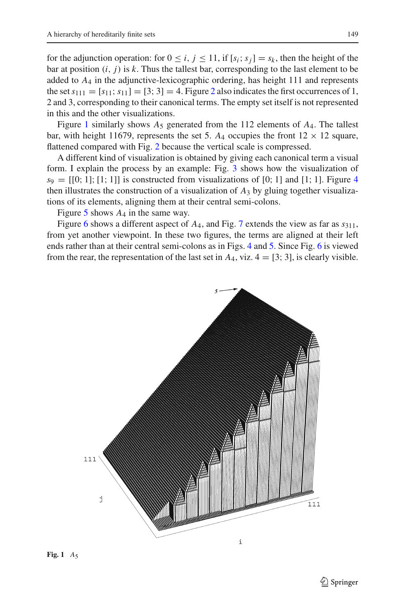for the adjunction operation: for  $0 \le i, j \le 11$ , if  $[s_i; s_j] = s_k$ , then the height of the bar at position  $(i, j)$  is  $k$ . Thus the tallest bar, corresponding to the last element to be added to *A*<sup>4</sup> in the adjunctive-lexicographic ordering, has height 111 and represents the set  $s_{111} = [s_{11}; s_{11}] = [3; 3] = 4$ . Figure [2](#page-7-0) also indicates the first occurrences of 1, 2 and 3, corresponding to their canonical terms. The empty set itself is not represented in this and the other visualizations.

Figure [1](#page-6-0) similarly shows  $A_5$  generated from the 112 elements of  $A_4$ . The tallest bar, with height 11679, represents the set 5.  $A_4$  occupies the front  $12 \times 12$  square, flattened compared with Fig. [2](#page-7-0) because the vertical scale is compressed.

A different kind of visualization is obtained by giving each canonical term a visual form. I explain the process by an example: Fig. [3](#page-7-1) shows how the visualization of  $s_9 = [[0; 1]; [1; 1]]$  is constructed from visualizations of [0; 1] and [1; 1]. Figure [4](#page-7-2) then illustrates the construction of a visualization of  $A_3$  by gluing together visualizations of its elements, aligning them at their central semi-colons.

Figure [5](#page-8-0) shows *A*<sup>4</sup> in the same way.

Figure [6](#page-8-1) shows a different aspect of *A*4, and Fig. [7](#page-9-1) extends the view as far as *s*311, from yet another viewpoint. In these two figures, the terms are aligned at their left ends rather than at their central semi-colons as in Figs. [4](#page-7-2) and [5.](#page-8-0) Since Fig. [6](#page-8-1) is viewed from the rear, the representation of the last set in  $A_4$ , viz.  $4 = [3; 3]$ , is clearly visible.

<span id="page-6-0"></span>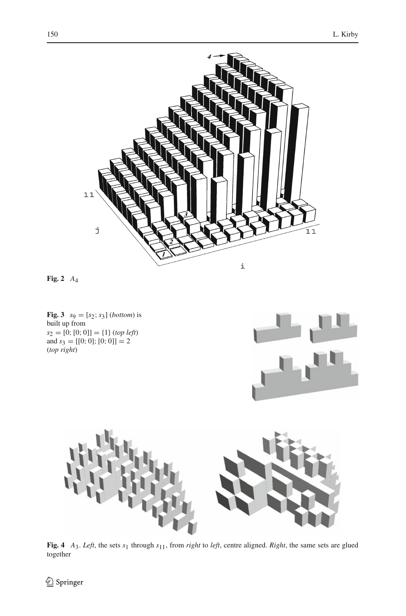

<span id="page-7-0"></span>**Fig. 2** *A*4

<span id="page-7-1"></span>**Fig. 3**  $s_9 = [s_2; s_3]$  (*bottom*) is built up from  $s_2 = [0; [0; 0]] = \{1\}$  (*top left*) and  $s_3 = [[0; 0]; [0; 0]] = 2$ (*top right*)





<span id="page-7-2"></span>**Fig. 4** *A*3. *Left*, the sets *s*1 through *s*11, from *right* to *left*, centre aligned. *Right*, the same sets are glued together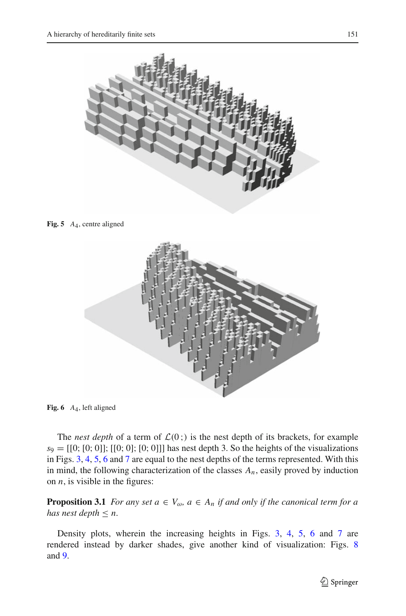

**Fig. 5** *A*4, centre aligned

<span id="page-8-0"></span>

**Fig. 6** *A*4, left aligned

<span id="page-8-1"></span>The *nest depth* of a term of  $\mathcal{L}(0; )$  is the nest depth of its brackets, for example  $s_9 = [[0; [0; 0]]; [[0; 0]; [0; 0]]]$  has nest depth 3. So the heights of the visualizations in Figs. [3,](#page-7-1) [4,](#page-7-2) [5,](#page-8-0) [6](#page-8-1) and [7](#page-9-1) are equal to the nest depths of the terms represented. With this in mind, the following characterization of the classes *An*, easily proved by induction on *n*, is visible in the figures:

**Proposition 3.1** *For any set*  $a \in V_\omega$ *,*  $a \in A_n$  *if and only if the canonical term for a has nest depth*  $\leq n$ *.* 

Density plots, wherein the increasing heights in Figs. [3,](#page-7-1) [4,](#page-7-2) [5,](#page-8-0) [6](#page-8-1) and [7](#page-9-1) are rendered instead by darker shades, give another kind of visualization: Figs. [8](#page-9-2) and [9.](#page-10-0)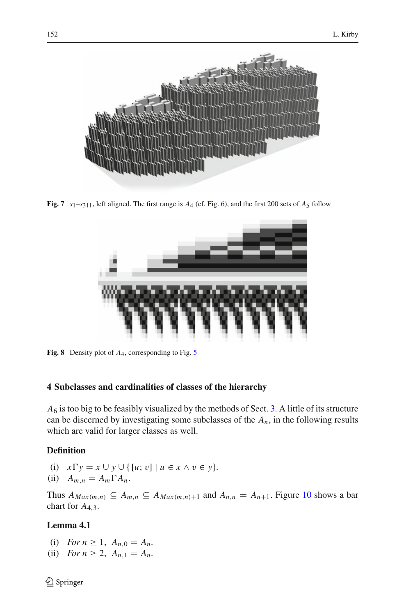

**Fig. 7** *s*1–*s*311, left aligned. The first range is *A*4 (cf. Fig. [6\)](#page-8-1), and the first 200 sets of *A*5 follow

<span id="page-9-1"></span>

**Fig. 8** Density plot of *A*4, corresponding to Fig. [5](#page-8-0)

# <span id="page-9-2"></span><span id="page-9-0"></span>**4 Subclasses and cardinalities of classes of the hierarchy**

*A*<sup>6</sup> is too big to be feasibly visualized by the methods of Sect. [3.](#page-5-0) A little of its structure can be discerned by investigating some subclasses of the  $A_n$ , in the following results which are valid for larger classes as well.

# **Definition**

- (i)  $x \Gamma y = x \cup y \cup \{ [u; v] | u \in x \land v \in y \}.$
- (ii)  $A_{m,n} = A_m \Gamma A_n$ .

Thus  $A_{Max(m,n)} \subseteq A_{m,n} \subseteq A_{Max(m,n)+1}$  and  $A_{n,n} = A_{n+1}$ . Figure [10](#page-11-0) shows a bar chart for *A*4,3.

# **Lemma 4.1**

- (i) *For*  $n \ge 1$ ,  $A_{n,0} = A_n$ .
- (ii) *For*  $n \ge 2$ ,  $A_{n,1} = A_n$ .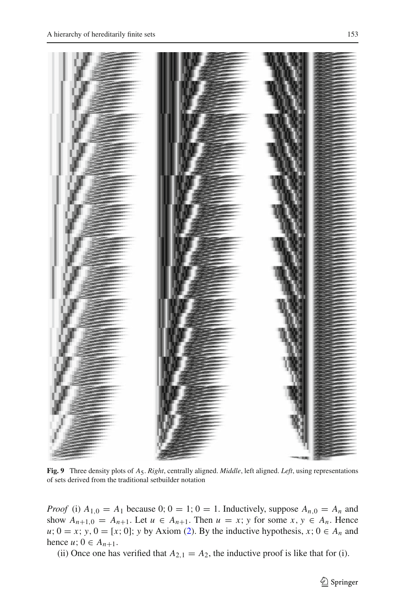

**Fig. 9** Three density plots of *A*5. *Right*, centrally aligned. *Middle*, left aligned. *Left*, using representations of sets derived from the traditional setbuilder notation

<span id="page-10-0"></span>*Proof* (i)  $A_{1,0} = A_1$  because 0; 0 = 1; 0 = 1. Inductively, suppose  $A_{n,0} = A_n$  and show  $A_{n+1,0} = A_{n+1}$ . Let  $u \in A_{n+1}$ . Then  $u = x$ ; *y* for some  $x, y \in A_n$ . Hence  $u$ ;  $0 = x$ ; *y*,  $0 = [x, 0]$ ; *y* by Axiom [\(2\)](#page-3-0). By the inductive hypothesis, *x*;  $0 \in A_n$  and hence *u*;  $0 \in A_{n+1}$ .

<span id="page-10-1"></span>(ii) Once one has verified that  $A_{2,1} = A_2$ , the inductive proof is like that for (i).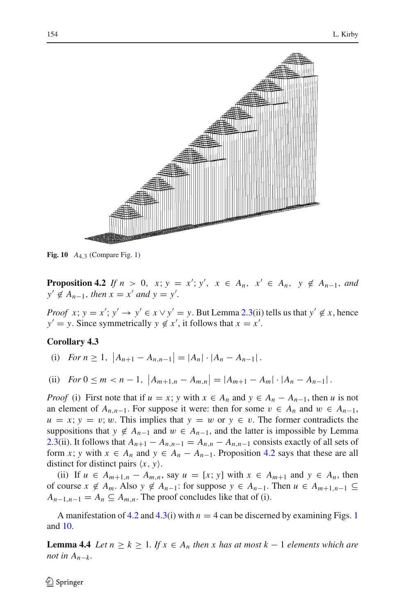

<span id="page-11-0"></span>**Fig. 10** *A*4,3 (Compare Fig. [1\)](#page-6-0)

**Proposition 4.2** *If*  $n > 0$ ,  $x; y = x'$ ;  $y'$ ,  $x \in A_n$ ,  $x' \in A_n$ ,  $y \notin A_{n-1}$ , and *y*′ ∉  $A_{n-1}$ , *then*  $x = x'$  *and*  $y = y'$ .

*Proof x*;  $y = x'$ ;  $y' \rightarrow y' \in x \vee y' = y$ . But Lemma [2.3\(](#page-3-1)ii) tells us that  $y' \notin x$ , hence  $y' = y$ . Since symmetrically  $y \notin x'$ , it follows that  $x = x'$ .

#### <span id="page-11-1"></span>**Corollary 4.3**

(i)  $For n \ge 1, |A_{n+1} - A_{n,n-1}| = |A_n| \cdot |A_n - A_{n-1}|.$ 

(ii)  $For\ 0 \le m < n - 1, \ |A_{m+1,n} - A_{m,n}| = |A_{m+1} - A_m| \cdot |A_n - A_{n-1}|.$ 

*Proof* (i) First note that if  $u = x$ ; *y* with  $x \in A_n$  and  $y \in A_n - A_{n-1}$ , then *u* is not an element of  $A_{n,n-1}$ . For suppose it were: then for some  $v \in A_n$  and  $w \in A_{n-1}$ ,  $u = x$ ;  $y = v$ ; w. This implies that  $y = w$  or  $y \in v$ . The former contradicts the suppositions that *y*  $\notin A_{n-1}$  and  $w \in A_{n-1}$ , and the latter is impossible by Lemma [2.3\(](#page-3-1)ii). It follows that  $A_{n+1} - A_{n,n-1} = A_{n,n} - A_{n,n-1}$  consists exactly of all sets of form *x*; *y* with  $x \in A_n$  and  $y \in A_n - A_{n-1}$ . Proposition [4.2](#page-10-1) says that these are all distinct for distinct pairs  $\langle x, y \rangle$ .

(ii) If  $u \in A_{m+1,n} - A_{m,n}$ , say  $u = [x; y]$  with  $x \in A_{m+1}$  and  $y \in A_n$ , then of course  $x \notin A_m$ . Also  $y \notin A_{n-1}$ : for suppose  $y \in A_{n-1}$ . Then  $u \in A_{m+1,n-1} \subseteq$  $A_{n-1,n-1} = A_n \subseteq A_{m,n}$ . The proof concludes like that of (i).

<span id="page-11-2"></span>A manifestation of [4.2](#page-10-1) and [4.3\(](#page-11-1)i) with  $n = 4$  can be discerned by examining Figs. [1](#page-6-0) and [10.](#page-11-0)

**Lemma 4.4** *Let*  $n \geq k \geq 1$ *. If*  $x \in A_n$  *then* x *has at most*  $k-1$  *elements which are not in A<sub>n−* $k$ *</sub>*.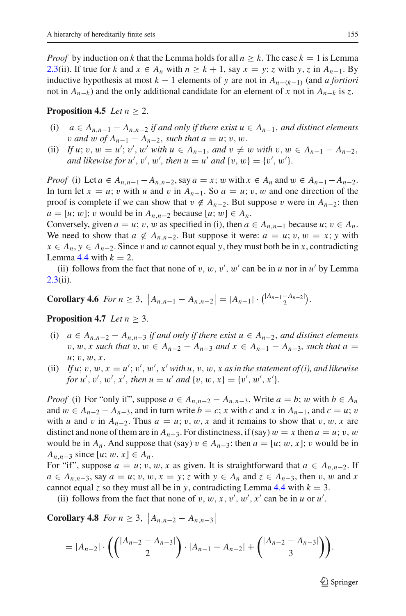*Proof* by induction on *k* that the Lemma holds for all  $n \geq k$ . The case  $k = 1$  is Lemma [2.3\(](#page-3-1)ii). If true for *k* and  $x \in A_n$  with  $n \geq k + 1$ , say  $x = y$ ; *z* with *y*, *z* in  $A_{n-1}$ . By inductive hypothesis at most  $k - 1$  elements of y are not in  $A_{n-(k-1)}$  (and *a fortiori* not in *An*<sup>−</sup>*<sup>k</sup>* ) and the only additional candidate for an element of *x* not in *An*<sup>−</sup>*<sup>k</sup>* is *z*.

### **Proposition 4.5** *Let*  $n > 2$ .

- (i) *a* ∈ *An*,*n*−<sup>1</sup> − *An*,*n*−<sup>2</sup> *if and only if there exist u* ∈ *An*<sup>−</sup>1, *and distinct elements v* and w of  $A_{n-1} - A_{n-2}$ , such that  $a = u$ ; v, w.
- (ii) If  $u$ ;  $v, w = u'$ ;  $v'$ ,  $w'$  with  $u \in A_{n-1}$ , and  $v \neq w$  with  $v, w \in A_{n-1} A_{n-2}$ , *and likewise for*  $u'$ ,  $v'$ ,  $w'$ , then  $u = u'$  *and*  $\{v, w\} = \{v', w'\}$ .

*Proof* (i) Let  $a \in A_{n,n-1} - A_{n,n-2}$ , say  $a = x$ ; w with  $x \in A_n$  and  $w \in A_{n-1} - A_{n-2}$ . In turn let  $x = u$ ; v with *u* and v in  $A_{n-1}$ . So  $a = u$ ; v, w and one direction of the proof is complete if we can show that  $v \notin A_{n-2}$ . But suppose v were in  $A_{n-2}$ : then *a* = [*u*; *w*]; *v* would be in  $A_{n,n-2}$  because [*u*; *w*] ∈  $A_n$ .

Conversely, given  $a = u$ ; v, w as specified in (i), then  $a \in A_{n,n-1}$  because  $u$ ;  $v \in A_n$ . We need to show that  $a \notin A_{n,n-2}$ . But suppose it were:  $a = u$ ;  $v, w = x$ ;  $y$  with *x* ∈ *A<sub>n</sub>*, *y* ∈ *A<sub>n−2</sub>*. Since *v* and *w* cannot equal *y*, they must both be in *x*, contradicting Lemma [4.4](#page-11-2) with  $k = 2$ .

(ii) follows from the fact that none of  $v, w, v', w'$  can be in  $u$  nor in  $u'$  by Lemma  $2.3(ii)$  $2.3(ii)$ .

**Corollary 4.6** *For n*  $\geq 3$ ,  $|A_{n,n-1} - A_{n,n-2}| = |A_{n-1}| \cdot {^{|A_{n-1} - A_{n-2}|} \choose 2}.$ 

### <span id="page-12-0"></span>**Proposition 4.7** *Let n* ≥ 3.

- (i) *a* ∈ *An*,*n*−<sup>2</sup> − *An*,*n*−<sup>3</sup> *if and only if there exist u* ∈ *An*<sup>−</sup>2, *and distinct elements v*, *w*, *x* such that *v*, *w* ∈ *A*<sub>*n*−2</sub> − *A*<sub>*n*−3</sub> and *x* ∈ *A*<sub>*n*−1</sub> − *A*<sub>*n*−3</sub>, such that  $a =$ *u*; v, w, *x*.
- (ii) If  $u$ ;  $v$ ,  $w$ ,  $x = u'$ ;  $v'$ ,  $w'$ ,  $x'$  with  $u$ ,  $v$ ,  $w$ ,  $x$  as in the statement of (i), and likewise *for*  $u'$ ,  $v'$ ,  $w'$ ,  $x'$ , then  $u = u'$  and  $\{v, w, x\} = \{v', w', x'\}.$

*Proof* (i) For "only if", suppose  $a \in A_{n,n-2} - A_{n,n-3}$ . Write  $a = b$ ; w with  $b \in A_n$ and  $w \in A_{n-2} - A_{n-3}$ , and in turn write  $b = c$ ; *x* with *c* and *x* in  $A_{n-1}$ , and  $c = u$ ; *v* with *u* and *v* in  $A_{n-2}$ . Thus  $a = u$ ; *v*, *w*, *x* and it remains to show that *v*, *w*, *x* are distinct and none of them are in  $A_{n-3}$ . For distinctness, if (say)  $w = x$  then  $a = u$ ; v, w would be in  $A_n$ . And suppose that (say)  $v \in A_{n-3}$ : then  $a = [u; w, x]$ ; v would be in *A*<sub>*n*,*n*−3</sub> since [*u*; *w*, *x*] ∈ *A<sub><i>n*</sub>.

For "if", suppose  $a = u$ ; v, w, x as given. It is straightforward that  $a \in A_{n,n-2}$ . If  $a \in A_{n,n-3}$ , say  $a = u$ ; v, w,  $x = y$ ; z with  $y \in A_n$  and  $z \in A_{n-3}$ , then v, w and x cannot equal *z* so they must all be in *y*, contradicting Lemma [4.4](#page-11-2) with  $k = 3$ .

(ii) follows from the fact that none of  $v, w, x, v', w', x'$  can be in *u* or *u'*.

**Corollary 4.8** *For n*  $\geq$  3,  $|A_{n,n-2} - A_{n,n-3}|$ 

$$
= |A_{n-2}| \cdot \left( { |A_{n-2} - A_{n-3}| \choose 2} \cdot |A_{n-1} - A_{n-2}| + { |A_{n-2} - A_{n-3}| \choose 3} \right).
$$

 $\mathcal{D}$  Springer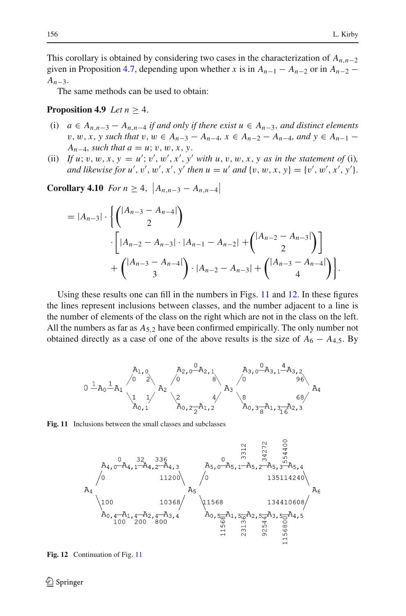This corollary is obtained by considering two cases in the characterization of *An*,*n*−<sup>2</sup> given in Proposition [4.7,](#page-12-0) depending upon whether *x* is in  $A_{n-1} - A_{n-2}$  or in  $A_{n-2}$ *An*−3.

The same methods can be used to obtain:

### **Proposition 4.9** *Let*  $n > 4$ .

- (i) *a* ∈ *An*,*n*−<sup>3</sup> − *An*,*n*−<sup>4</sup> *if and only if there exist u* ∈ *An*<sup>−</sup>3, *and distinct elements v*, *w*, *x*, *y* such that *v*, *w* ∈ *A*<sub>*n*−3</sub> − *A*<sub>*n*−4</sub>, *x* ∈ *A*<sub>*n*−2</sub> − *A*<sub>*n*−4</sub>, and *y* ∈ *A*<sub>*n*−1</sub> − *A*<sub>*n*−4</sub>*, such that a* = *u*; *v*, *w*, *x*, *y*.
- (ii) If  $u$ ;  $v, w, x, y = u'$ ;  $v', w', x', y'$  with  $u, v, w, x, y$  as in the statement of (i), *and likewise for u'*, *v'*, *w'*, *x'*, *y' then*  $u = u'$  *and*  $\{v, w, x, y\} = \{v', w', x', y'\}$ .

**Corollary 4.10** *For n*  $\geq 4$ ,  $|A_{n,n-3} - A_{n,n-4}|$ 

$$
= |A_{n-3}| \cdot \left\{ \binom{|A_{n-3} - A_{n-4}|}{2} \cdot \left[ |A_{n-2} - A_{n-3}| \cdot |A_{n-1} - A_{n-2}| + \binom{|A_{n-2} - A_{n-3}|}{2} \right] + \binom{|A_{n-3} - A_{n-4}|}{3} \cdot |A_{n-2} - A_{n-3}| + \binom{|A_{n-3} - A_{n-4}|}{4} \right\}.
$$

Using these results one can fill in the numbers in Figs. [11](#page-13-0) and [12.](#page-13-1) In these figures the lines represent inclusions between classes, and the number adjacent to a line is the number of elements of the class on the right which are not in the class on the left. All the numbers as far as *A*5,<sup>2</sup> have been confirmed empirically. The only number not obtained directly as a case of one of the above results is the size of  $A_6 - A_{4,5}$ . By

$$
0 \xrightarrow{A_1, 0} A_2 \xrightarrow{\begin{bmatrix} A_1, 0 \\ 0 \end{bmatrix}} A_2 \xrightarrow{\begin{bmatrix} A_2, 0 & A_2, 1 \\ 0 & 0 \end{bmatrix}} A_3 \xrightarrow{\begin{bmatrix} A_3, 0 & A_3, 1 & A_3, 2 \\ 0 & 0 & 9 & A_3 \end{bmatrix}} A_4
$$

<span id="page-13-0"></span>

<span id="page-13-1"></span>**Fig. 12** Continuation of Fig. [11](#page-13-0)